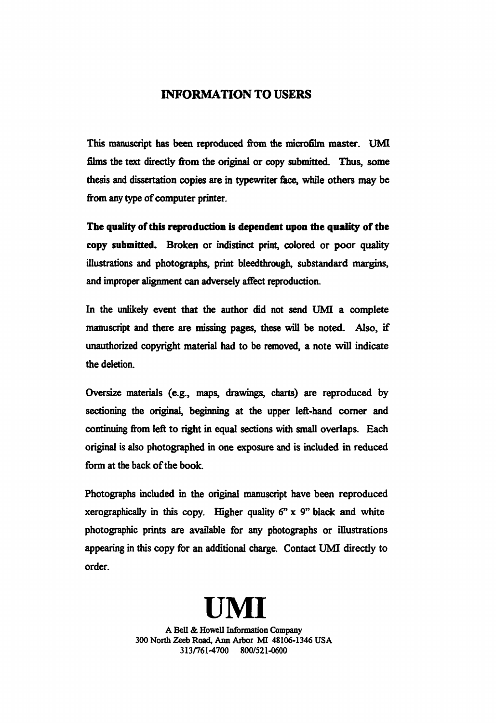## **INFORMATION TO USERS**

This manuscript has been reproduced from the microfilm master. UMI films the text directly from the original or copy submitted. Thus, some thesis and dissertation copies are in typewriter face, while others may be from any type of computer printer.

**The quality of this reproduction is dependent upon the quality of the copy submitted.** Broken or indistinct print, colored or poor quality illustrations and photographs, print bleedthrough, substandard margins, and improper alignment can adversely affect reproduction.

In the unlikely event that the author did not send UMI a complete manuscript and there are missing pages, these will be noted. Also, if unauthorized copyright material had to be removed, a note will indicate the deletion.

Oversize materials (e.g., maps, drawings, charts) are reproduced by sectioning the original, beginning at the upper left-hand comer and continuing from left to right in equal sections with small overlaps. Each original is also photographed in one exposure and is included in reduced form at the back of the book.

Photographs included in the original manuscript have been reproduced xerographically in this copy. Higher quality 6" x *9"* black and white photographic prints are available for any photographs or illustrations appearing in this copy for an additional charge. Contact UMI directly to order.



A Bell & Howell Information Company 300 North Zed) Road, Ann Arbor MI 48106-1346 USA 313/761-4700 800/521-0600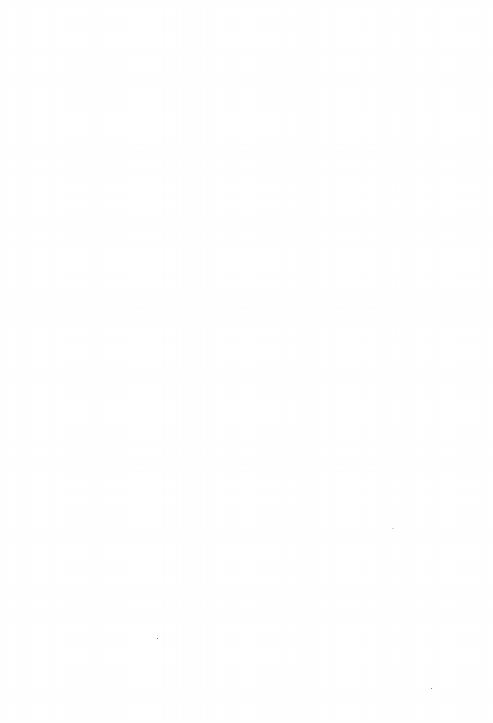$\mathcal{L}^{\text{max}}_{\text{max}}$  .

 $\label{eq:2.1} \frac{1}{\sqrt{2}}\int_{\mathbb{R}^3}\frac{1}{\sqrt{2}}\left(\frac{1}{\sqrt{2}}\right)^2\frac{1}{\sqrt{2}}\left(\frac{1}{\sqrt{2}}\right)^2\frac{1}{\sqrt{2}}\left(\frac{1}{\sqrt{2}}\right)^2\frac{1}{\sqrt{2}}\left(\frac{1}{\sqrt{2}}\right)^2.$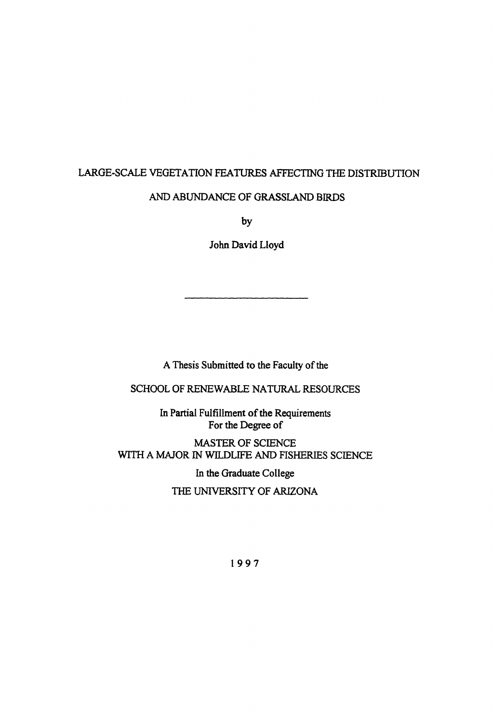# LARGE-SCALE VEGETATION FEATURES AFFECTING THE DISTRIBUTION

## AND ABUNDANCE OF GRASSLAND BIRDS

by

John David Lloyd

A Thesis Submitted to the Faculty of the

SCHOOL OF RENEWABLE NATURAL RESOURCES

In Partial Fulfillment of the Requirements For the Degree of

MASTER OF SCIENCE WITH A MAJOR IN WILDLIFE AND FISHERIES SCIENCE

> In the Graduate College THE UNIVERSITY OF ARIZONA

> > 1997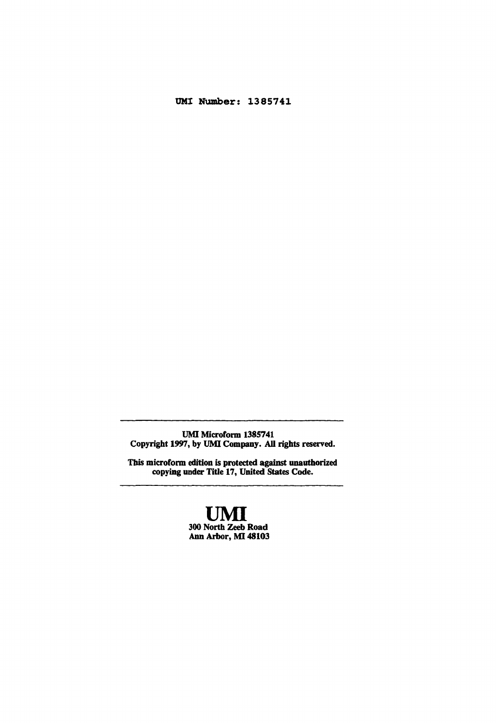### **UMI Number: 1385741**

UMI Microform 1385741 Copyright 1997, by UMI Company. All rights reserved.

This microform edition is protected against unauthorized copying under Title 17, United States Code.

> **UMI**  300 North Zeeb Road Ann Arbor, MI 48103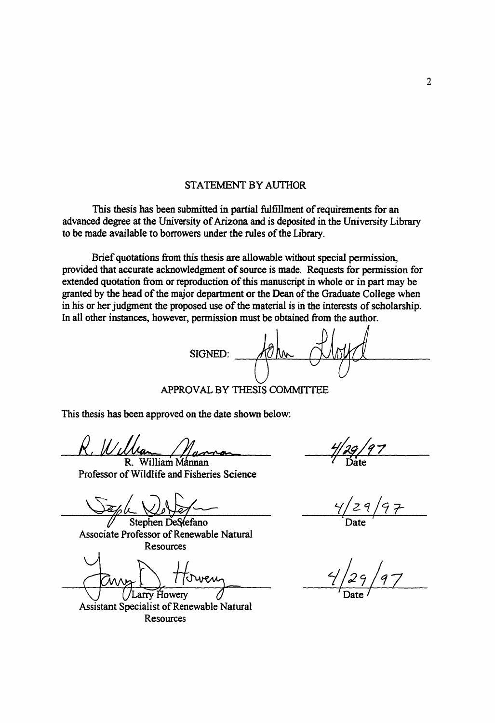#### STATEMENT BY AUTHOR

This thesis has been submitted in partial fulfillment of requirements for an advanced degree at the University of Arizona and is deposited in the University Library to be made available to borrowers under the rules of the Library.

Brief quotations from this thesis are allowable without special permission, provided that accurate acknowledgment of source is made. Requests for permission for extended quotation from or reproduction of this manuscript in whole or in part may be granted by the head of the major department or the Dean of the Graduate College when in his or her judgment the proposed use of the material is in the interests of scholarship. In all other instances, however, permission must be obtained from the author.

SIGNED:

APPROVAL BY THESIS COMMITTEE

This thesis has been approved on the date shown below;

zAJ—y / */I* 

R. William Maman Professor of Wildlife and Fisheries Science

Stephen DeStefano Associate Professor of Renewable Natural Resources

Larry Howery

Assistant Specialist of Renewable Natural Resources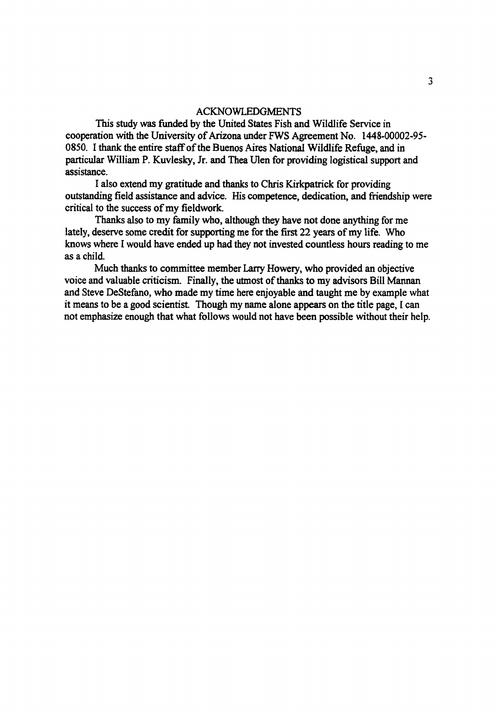#### ACKNOWLEDGMENTS

This study was funded by the United States Fish and Wildlife Service in cooperation with the University of Arizona under FWS Agreement No. 1448-00002-95- 0850. I thank the entire staff of the Buenos Aires National Wildlife Refuge, and in particular William P. Kuvlesky, Jr. and Thea Ulen for providing logistical support and assistance.

I also extend my gratitude and thanks to Chris Kirkpatrick for providing outstanding field assistance and advice. His competence, dedication, and friendship were critical to the success of my fieldwork.

Thanks also to my family who, although they have not done anything for me lately, deserve some credit for supporting me for the first 22 years of my life. Who knows where I would have ended up had they not invested countless hours reading to me as a child.

Much thanks to committee member Larry Howery, who provided an objective voice and valuable criticism. Finally, the utmost of thanks to my advisors Bill Mannan and Steve DeStefano, who made my time here enjoyable and taught me by example what it means to be a good scientist. Though my name alone appears on the title page, I can not emphasize enough that what follows would not have been possible without their help.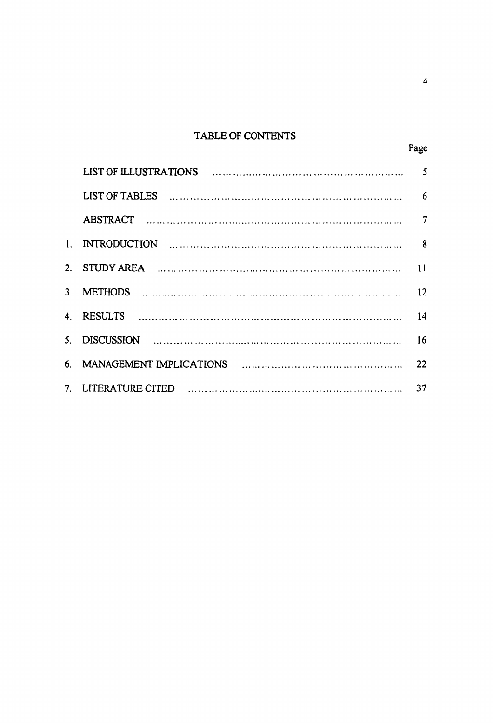## TABLE OF CONTENTS

|                | LIST OF ILLUSTRATIONS MARKET AND THE STATE AND THE STATE AND THE STATE AND THE STATE AND THE STATE AND THE STATE AND THE STATE AND THE STATE AND THE STATE AND THE STATE AND THE STATE AND THE STATE AND THE STATE AND THE STA |                |
|----------------|--------------------------------------------------------------------------------------------------------------------------------------------------------------------------------------------------------------------------------|----------------|
|                |                                                                                                                                                                                                                                |                |
|                |                                                                                                                                                                                                                                | $\overline{7}$ |
| $\mathbf{1}$   |                                                                                                                                                                                                                                |                |
|                |                                                                                                                                                                                                                                | 11             |
| 3 <sub>1</sub> |                                                                                                                                                                                                                                | 12             |
|                |                                                                                                                                                                                                                                | 14             |
|                |                                                                                                                                                                                                                                | 16             |
|                |                                                                                                                                                                                                                                | 22             |
|                |                                                                                                                                                                                                                                | 37             |

 $\sim 10^7$ 

**4** 

Page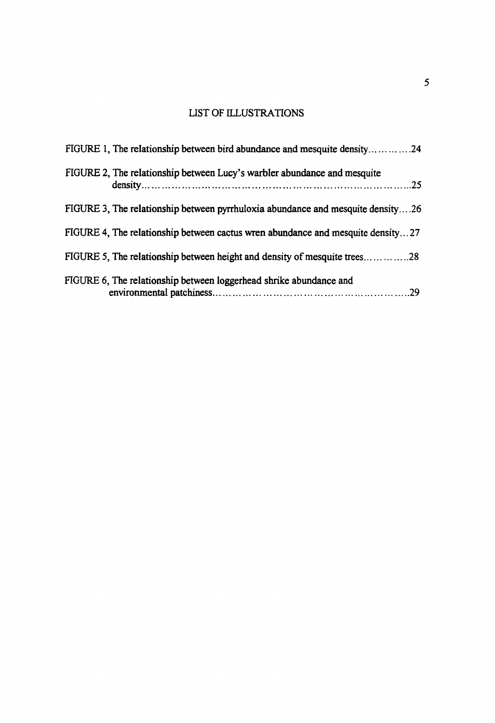## LIST OF ILLUSTRATIONS

| FIGURE 1, The relationship between bird abundance and mesquite density24        |
|---------------------------------------------------------------------------------|
| FIGURE 2, The relationship between Lucy's warbler abundance and mesquite        |
| FIGURE 3, The relationship between pyrrhuloxia abundance and mesquite density26 |
| FIGURE 4, The relationship between cactus wren abundance and mesquite density27 |
| FIGURE 5, The relationship between height and density of mesquite trees28       |
| FIGURE 6, The relationship between loggerhead shrike abundance and              |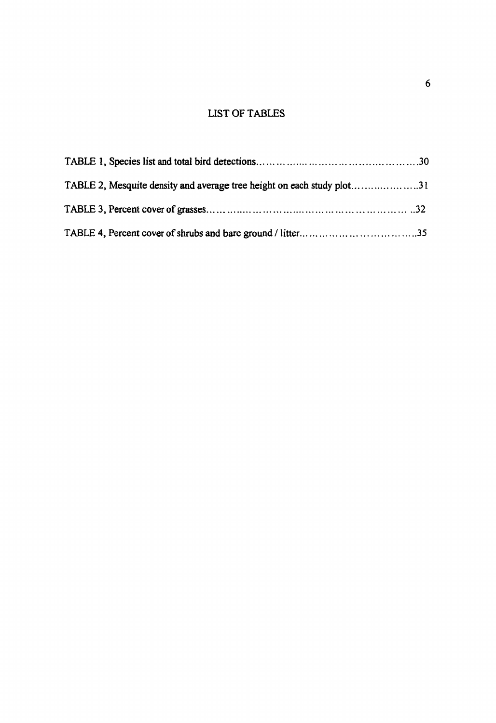## LIST OF TABLES

| TABLE 2, Mesquite density and average tree height on each study plot31 |  |
|------------------------------------------------------------------------|--|
|                                                                        |  |
|                                                                        |  |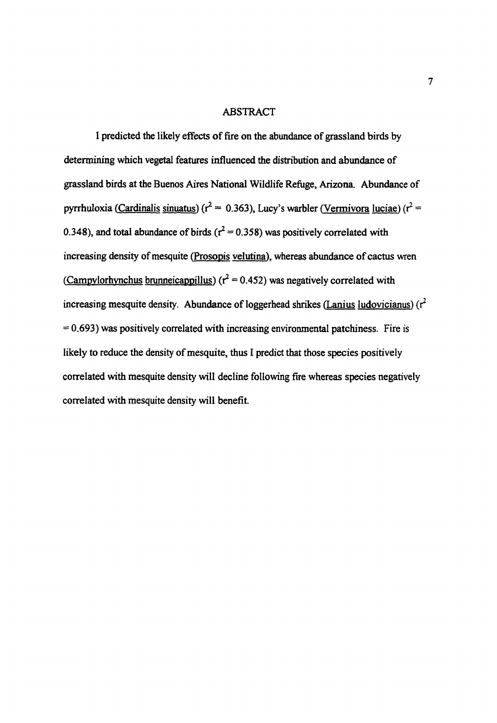### ABSTRACT

I predicted the likely effects of fire on the abundance of grassland birds by determining which vegetal features influenced the distribution and abundance of grassland birds at the Buenos Aires National Wildlife Refuge, Arizona. Abundance of pyrrhuloxia (Cardinalis sinuatus) ( $r^2 = 0.363$ ), Lucy's warbler (Vermivora luciae) ( $r^2 =$ 0.348), and total abundance of birds ( $r^2 = 0.358$ ) was positively correlated with increasing density of mesquite (Prosopis velutina). whereas abundance of cactus wren (Campylorhynchus brunneicappillus) ( $r^2$  = 0.452) was negatively correlated with increasing mesquite density. Abundance of loggerhead shrikes (Lanius ludovicianus) ( $r^2$  $= 0.693$ ) was positively correlated with increasing environmental patchiness. Fire is likely to reduce the density of mesquite, thus I predict that those species positively correlated with mesquite density will decline following fire whereas species negatively correlated with mesquite density will benefit.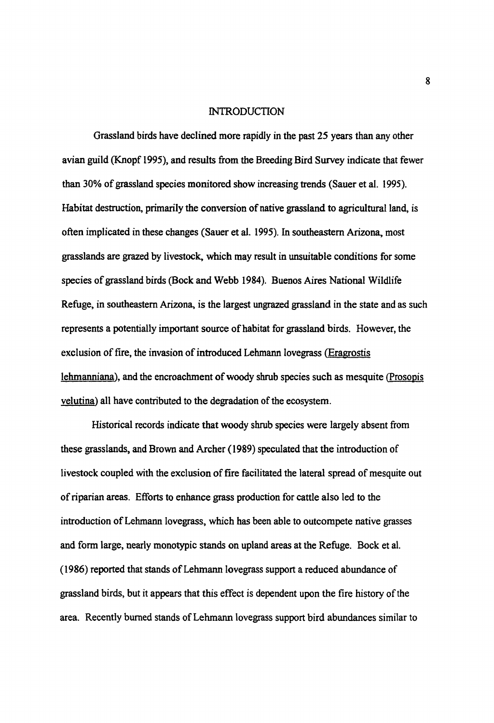#### INTRODUCTION

Grassland birds have declined more rapidly in the past 25 years than any other avian guild (Knopf 1995), and results from the Breeding Bird Survey indicate that fewer than 30% of grassland species monitored show increasing trends (Sauer et al. 1995). Habitat destruction, primarily the conversion of native grassland to agricultural land, is often implicated in these changes (Sauer et al. 1995). In southeastern Arizona, most grasslands are grazed by livestock, which may result in unsuitable conditions for some species of grassland birds (Bock and Webb 1984). Buenos Aires National Wildlife Refuge, in southeastern Arizona, is the largest ungrazed grassland in the state and as such represents a potentially important source of habitat for grassland birds. However, the exclusion of fire, the invasion of introduced Lehmann lovegrass (Eraerostis lehmanniana). and the encroachment of woody shrub species such as mesquite (Prosopis velutina) all have contributed to the degradation of the ecosystem.

Historical records indicate that woody shrub species were largely absent from these grasslands, and Brown and Archer (1989) speculated that the introduction of livestock coupled with the exclusion of fire facilitated the lateral spread of mesquite out of riparian areas. Efforts to enhance grass production for cattle also led to the introduction of Lehmann lovegrass, which has been able to outcompete native grasses and form large, nearly monotypic stands on upland areas at the Refuge. Bock et al. (1986) reported that stands of Lehmann lovegrass support a reduced abundance of grassland birds, but it appears that this effect is dependent upon the fire history of the area. Recently burned stands of Lehmann lovegrass support bird abundances similar to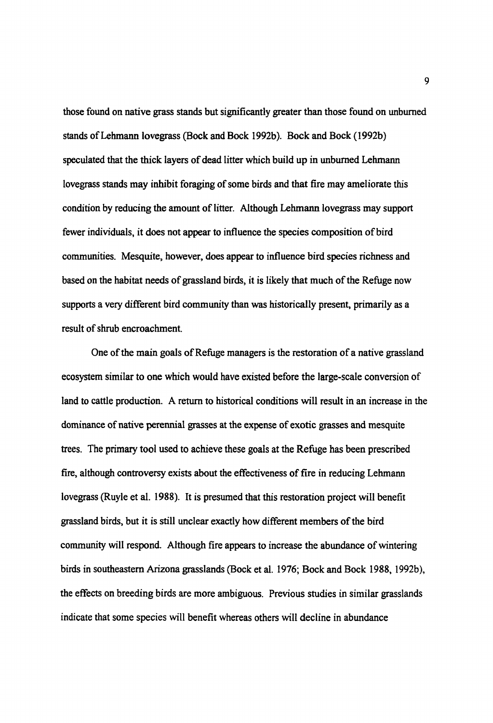those found on native grass stands but significantly greater than those found on unbumed stands of Lehmann lovegrass (Bock and Bock 1992b). Bock and Bock (1992b) speculated that the thick layers of dead litter which build up in unbumed Lehmann lovegrass stands may inhibit foraging of some birds and that fire may ameliorate this condition by reducing the amount of litter. Although Lehmann lovegrass may support fewer individuals, it does not appear to influence the species composition of bird communities. Mesquite, however, does appear to influence bird species richness and based on the habitat needs of grassland birds, it is likely that much of the Refuge now supports a very different bird community than was historically present, primarily as a result of shrub encroachment.

One of the main goals of Refuge managers is the restoration of a native grassland ecosystem similar to one which would have existed before the large-scale conversion of land to cattle production. A return to historical conditions will result in an increase in the dominance of native perennial grasses at the expense of exotic grasses and mesquite trees. The primary tool used to achieve these goals at the Refuge has been prescribed fire, although controversy exists about the effectiveness of fire in reducing Lehmann lovegrass (Ruyle et al. 1988). It is presumed that this restoration project will benefit grassland birds, but it is still unclear exactly how different members of the bird community will respond. Although fire appears to increase the abundance of wintering birds in southeastern Arizona grasslands (Bock et al. 1976; Bock and Bock 1988, 1992b), the effects on breeding birds are more ambiguous. Previous studies in similar grasslands indicate that some species will benefit whereas others will decline in abundance

**9**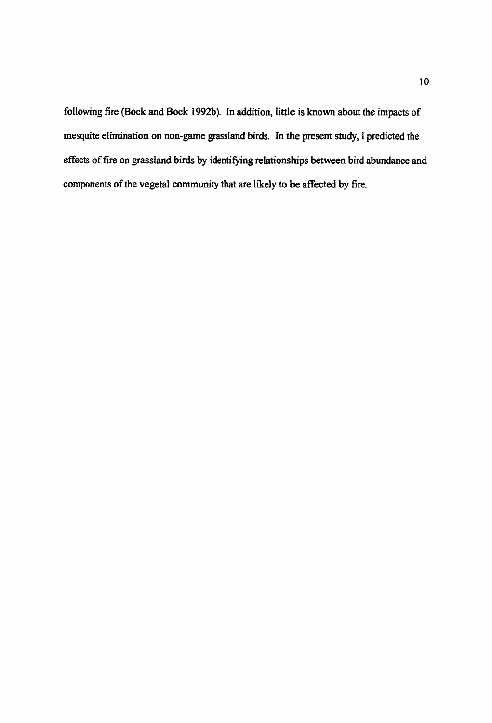following fire (Bock and Bock 1992b). In addition, little is known about the impacts of mesquite elimination on non-game grassland birds. In the present study, I predicted the effects of fire on grassland birds by identifying relationships between bird abundance and components of the vegetal community that are likely to be affected by fire.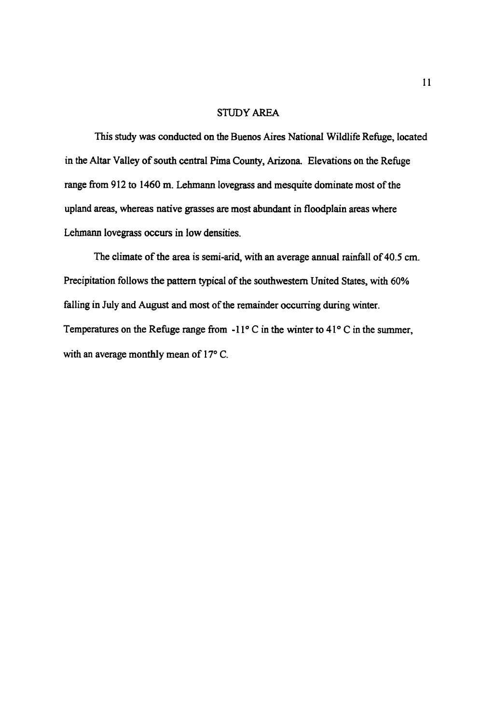#### STUDY AREA

This study was conducted on the Buenos Aires National Wildlife Refuge, located in the Altar Valley of south central Pima County, Arizona. Elevations on the Refuge range from 912 to 1460 m. Lehmann lovegrass and mesquite dominate most of the upland areas, whereas native grasses are most abundant in floodplain areas where Lehmann lovegrass occurs in low densities.

The climate of the area is semi-arid, with an average annual rainfall of 40.5 cm. Precipitation follows the pattern typical of the southwestern United States, with 60% falling in July and August and most of the remainder occurring during winter. Temperatures on the Refuge range from -11° C in the winter to 41° C in the summer, with an average monthly mean of 17° C.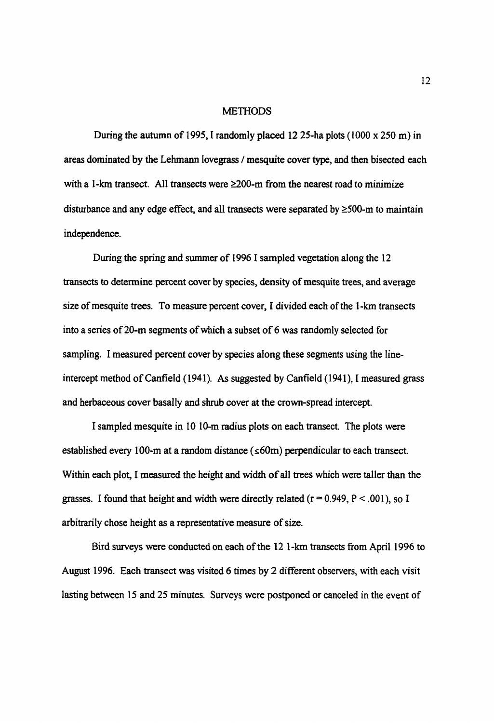#### **METHODS**

During the autumn of 1995, I randomly placed 12 25-ha plots (1000 x 250 m) in areas dominated by the Lehmann lovegrass / mesquite cover type, and then bisected each with a 1-km transect. All transects were  $\geq$ 200-m from the nearest road to minimize disturbance and any edge effect, and all transects were separated by  $\geq$ 500-m to maintain independence.

During the spring and summer of 1996 I sampled vegetation along the 12 transects to determine percent cover by species, density of mesquite trees, and average size of mesquite trees. To measure percent cover, I divided each of the l-km transects into a series of 20-m segments of which a subset of 6 was randomly selected for sampling. I measured percent cover by species along these segments using the lineintercept method of Canfield (1941). As suggested by Canfield (1941), I measured grass and herbaceous cover basally and shrub cover at the crown-spread intercept.

I sampled mesquite in 10 10-m radius plots on each transect. The plots were established every 100-m at a random distance ( $\leq 60$ m) perpendicular to each transect. Within each plot, I measured the height and width of all trees which were taller than the grasses. I found that height and width were directly related ( $r = 0.949$ ,  $P < .001$ ), so I arbitrarily chose height as a representative measure of size.

Bird surveys were conducted on each of the 12 l-km transects from April 1996 to August 1996. Each transect was visited 6 times by 2 different observers, with each visit lasting between 15 and 25 minutes. Surveys were postponed or canceled in the event of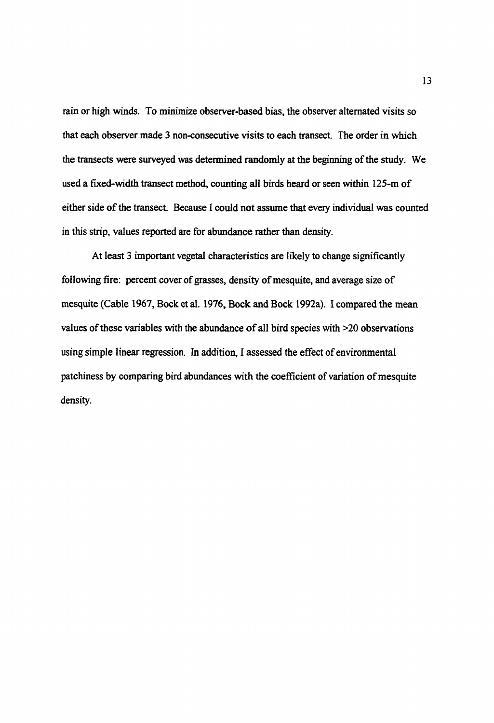rain or high winds. To minimize observer-based bias, the observer alternated visits so that each observer made 3 non-consecutive visits to each transect. The order in which the transects were surveyed was determined randomly at the beginning of the study. We used a fixed-width transect method, counting all birds heard or seen within 125-m of either side of the transect. Because I could not assume that every individual was counted in this strip, values reported are for abundance rather than density.

At least 3 important vegetal characteristics are likely to change significantly following fire: percent cover of grasses, density of mesquite, and average size of mesquite (Cable 1967, Bock et al. 1976, Bock and Bock 1992a). I compared the mean values of these variables with the abundance of all bird species with >20 observations using simple linear regression. In addition, I assessed the effect of environmental patchiness by comparing bird abundances with the coefficient of variation of mesquite density.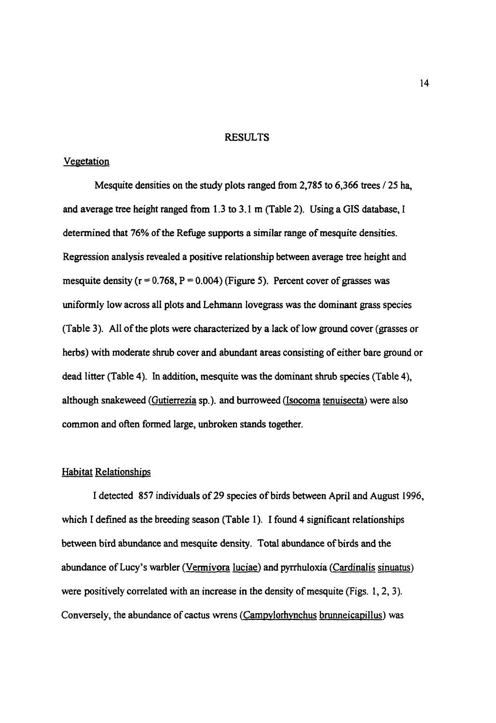#### RESULTS

### Vegetation

Mesquite densities on the study plots ranged from 2,785 to 6,366 trees / 25 ha, and average tree height ranged from 1.3 to 3.1 m (Table 2). Using a GIS database, I determined that 76% of the Refuge supports a similar range of mesquite densities. Regression analysis revealed a positive relationship between average tree height and mesquite density ( $r = 0.768$ ,  $P = 0.004$ ) (Figure 5). Percent cover of grasses was uniformly low across all plots and Lehmann lovegrass was the dominant grass species (Table 3). All of the plots were characterized by a lack of low ground cover (grasses or herbs) with moderate shrub cover and abundant areas consisting of either bare ground or dead litter (Table 4). In addition, mesquite was the dominant shrub species (Table 4), although snakeweed (Gutierrezia sp.). and burroweed (Isocoma tenuisecta) were also common and often formed large, unbroken stands together.

#### Habitat Relationships

I detected 857 individuals of 29 species of birds between April and August 1996, which I defined as the breeding season (Table 1). I found 4 significant relationships between bird abundance and mesquite density. Total abundance of birds and the abundance of Lucy's warbler (Vermivora luciae) and pyrrhuloxia (Cardinalis sinuatus) were positively correlated with an increase in the density of mesquite (Figs. 1,2, 3). Conversely, the abundance of cactus wrens (Campvlorhvnchus brurmeicapillus) was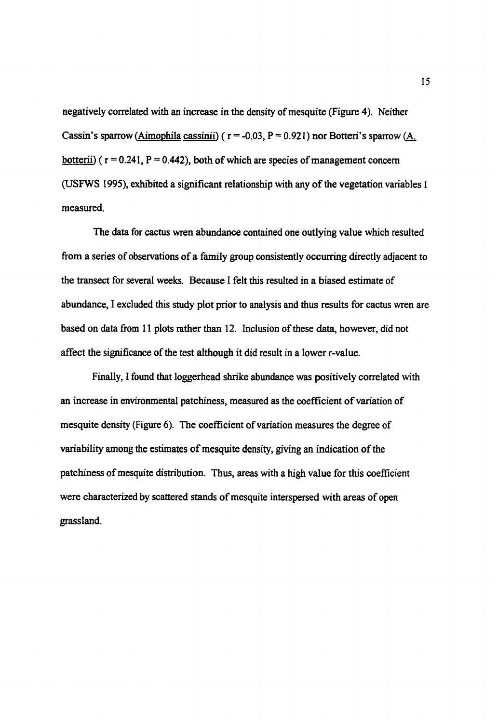negatively correlated with an increase in the density of mesquite (Figure 4). Neither Cassin's sparrow (Aimophila cassinii) ( $r = -0.03$ ,  $P = 0.921$ ) nor Botteri's sparrow (A. botterii) ( $r = 0.241$ ,  $P = 0.442$ ), both of which are species of management concern (USFWS 1995), exhibited a significant relationship with any of the vegetation variables I measured.

The data for cactus wren abundance contained one outlying value which resulted from a series of observations of a family group consistently occurring directly adjacent to the transect for several weeks. Because I felt this resulted in a biased estimate of abundance, I excluded this study plot prior to analysis and thus results for cactus wren are based on data from 11 plots rather than 12. Inclusion of these data, however, did not affect the significance of the test although it did result in a lower r-value.

Finally, I found that loggerhead shrike abundance was positively correlated with an increase in environmental patchiness, measured as the coefficient of variation of mesquite density (Figure 6). The coefficient of variation measures the degree of variability among the estimates of mesquite density, giving an indication of the patchiness of mesquite distribution. Thus, areas with a high value for this coefficient were characterized by scattered stands of mesquite interspersed with areas of open grassland.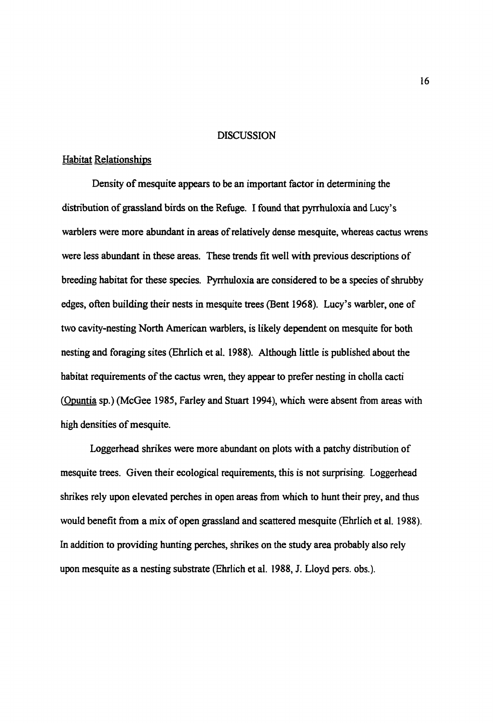#### **DISCUSSION**

### Habitat Relationships

Density of mesquite appears to be an important factor in determining the distribution of grassland birds on the Refuge. I found that pyrrhuloxia and Lucy's warblers were more abundant in areas of relatively dense mesquite, whereas cactus wrens were less abundant in these areas. These trends fit well with previous descriptions of breeding habitat for these species. Pyrrhuloxia are considered to be a species of shrubby edges, often building their nests in mesquite trees (Bent 1968). Lucy's warbler, one of two cavity-nesting North American warblers, is likely dependent on mesquite for both nesting and foraging sites (Ehrlich et al. 1988). Although little is published about the habitat requirements of the cactus wren, they appear to prefer nesting in cholla cacti (Opuntia sp.) (McGee 1985, Farley and Stuart 1994), which were absent from areas with high densities of mesquite.

Loggerhead shrikes were more abundant on plots with a patchy distribution of mesquite trees. Given their ecological requirements, this is not surprising. Loggerhead shrikes rely upon elevated perches in open areas from which to hunt their prey, and thus would benefit from a mix of open grassland and scattered mesquite (Ehrlich et al. 1988). In addition to providing hunting perches, shrikes on the study area probably also rely upon mesquite as a nesting substrate (Ehrlich et al. 1988, J. Lloyd pers. obs.).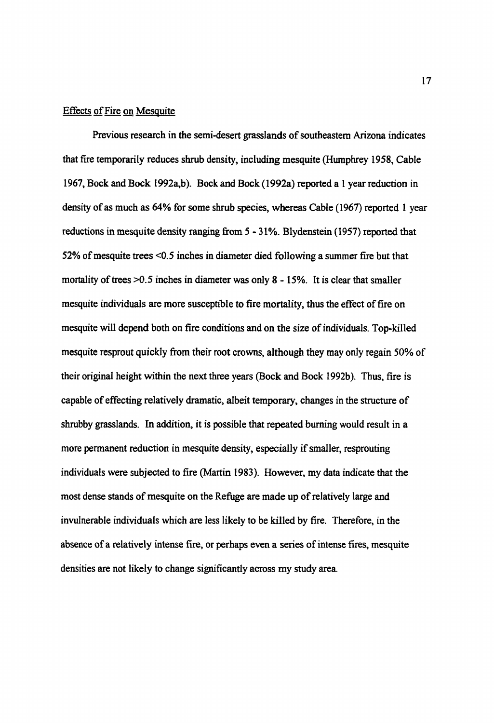#### **Effects of Fire on Mesquite**

Previous research in the semi-desert grasslands of southeastern Arizona indicates that fire temporarily reduces shrub density, including mesquite (Humphrey 1958, Cable 1967, Bock and Bock 1992a,b). Bock and Bock (1992a) reported a 1 year reduction in density of as much as 64% for some shrub species, whereas Cable (1967) reported 1 year reductions in mesquite density ranging from 5 - 31%. Blydenstein (1957) reported that 52% of mesquite trees <0.5 inches in diameter died following a summer fire but that mortality of trees > 0.5 inches in diameter was only 8 - 15%. It is clear that smaller mesquite individuals are more susceptible to fire mortality, thus the effect of fire on mesquite will depend both on fire conditions and on the size of individuals. Top-killed mesquite resprout quickly from their root crowns, although they may only regain 50% of their original height within the next three years (Bock and Bock 1992b). Thus, fire is capable of effecting relatively dramatic, albeit temporary, changes in the structure of shrubby grasslands. In addition, it is possible that repeated burning would result in a more permanent reduction in mesquite density, especially if smaller, resprouting individuals were subjected to fire (Martin 1983). However, my data indicate that the most dense stands of mesquite on the Refuge are made up of relatively large and invulnerable individuals which are less likely to be killed by fire. Therefore, in the absence of a relatively intense fire, or perhaps even a series of intense fires, mesquite densities are not likely to change significantly across my study area.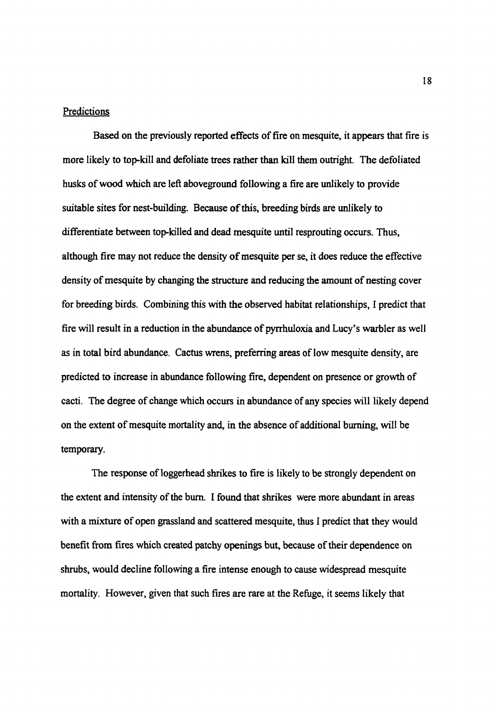### **Predictions**

Based on the previously reported effects of fire on mesquite, it appears that fire is more likely to top-kill and defoliate trees rather than kill them outright. The defoliated husks of wood which are left aboveground following a fire are unlikely to provide suitable sites for nest-building. Because of this, breeding birds are unlikely to differentiate between top-killed and dead mesquite until resprouting occurs. Thus, although fire may not reduce the density of mesquite per se, it does reduce the effective density of mesquite by changing the structure and reducing the amount of nesting cover for breeding birds. Combining this with the observed habitat relationships, I predict that fire will result in a reduction in the abundance of pyrrhuloxia and Lucy's warbler as well as in total bird abundance. Cactus wrens, preferring areas of low mesquite density, are predicted to increase in abundance following fire, dependent on presence or growth of cacti. The degree of change which occurs in abundance of any species will likely depend on the extent of mesquite mortality and, in the absence of additional burning, will be temporary.

The response of loggerhead shrikes to fire is likely to be strongly dependent on the extent and intensity of the bum. I found that shrikes were more abundant in areas with a mixture of open grassland and scattered mesquite, thus 1 predict that they would benefit from fires which created patchy openings but, because of their dependence on shrubs, would decline following a fire intense enough to cause widespread mesquite mortality. However, given that such fires are rare at the Refuge, it seems likely that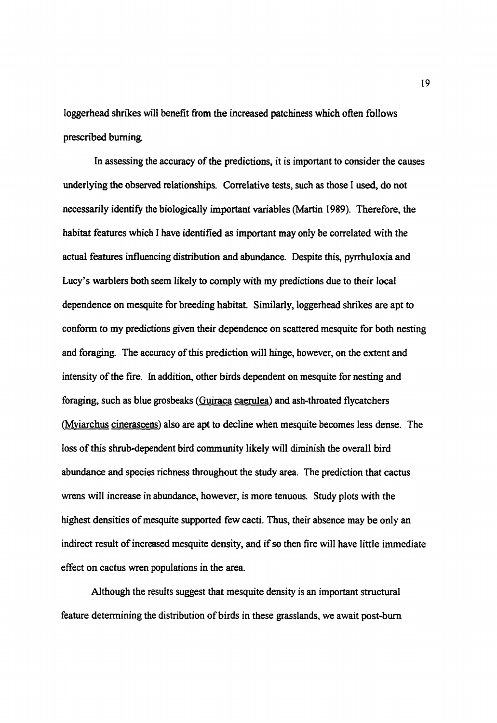loggerhead shrikes will benefit from the increased patchiness which often follows prescribed burning.

In assessing the accuracy of the predictions, it is important to consider the causes underlying the observed relationships. Correlative tests, such as those I used, do not necessarily identify the biologically important variables (Martin 1989). Therefore, the habitat features which I have identified as important may only be correlated with the actual features influencing distribution and abundance. Despite this, pyrrhuloxia and Lucy's warblers both seem likely to comply with my predictions due to their local dependence on mesquite for breeding habitat. Similarly, loggerhead shrikes are apt to conform to my predictions given their dependence on scattered mesquite for both nesting and foraging. The accuracy of this prediction will hinge, however, on the extent and intensity of the fire. In addition, other birds dependent on mesquite for nesting and foraging, such as blue grosbeaks (Guiraca caerulea) and ash-throated flycatchers (Mviarchus cinerascens) also are apt to decline when mesquite becomes less dense. The loss of this shrub-dependent bird community likely will diminish the overall bird abundance and species richness throughout the study area. The prediction that cactus wrens will increase in abundance, however, is more tenuous. Study plots with the highest densities of mesquite supported few cacti. Thus, their absence may be only an indirect result of increased mesquite density, and if so then fire will have little immediate effect on cactus wren populations in the area.

Although the results suggest that mesquite density is an important structural feature determining the distribution of birds in these grasslands, we await post-bum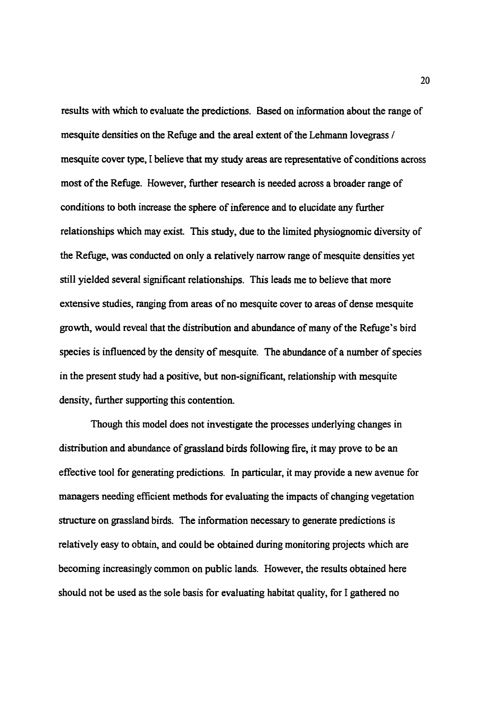results with which to evaluate the predictions. Based on information about the range of mesquite densities on the Refuge and the areal extent of the Lehmann lovegrass / mesquite cover type, I believe that my study areas are representative of conditions across most of the Refuge. However, further research is needed across a broader range of conditions to both increase the sphere of inference and to elucidate any further relationships which may exist. This study, due to the limited physiognomic diversity of the Refuge, was conducted on only a relatively narrow range of mesquite densities yet still yielded several significant relationships. This leads me to believe that more extensive studies, ranging from areas of no mesquite cover to areas of dense mesquite growth, would reveal that the distribution and abundance of many of the Refuge's bird species is influenced by the density of mesquite. The abundance of a number of species in the present study had a positive, but non-significant, relationship with mesquite density, further supporting this contention.

Though this model does not investigate the processes underlying changes in distribution and abundance of grassland birds following fire, it may prove to be an effective tool for generating predictions. In particular, it may provide a new avenue for managers needing efficient methods for evaluating the impacts of changing vegetation structure on grassland birds. The information necessary to generate predictions is relatively easy to obtain, and could be obtained during monitoring projects which are becoming increasingly common on public lands. However, the results obtained here should not be used as the sole basis for evaluating habitat quality, for I gathered no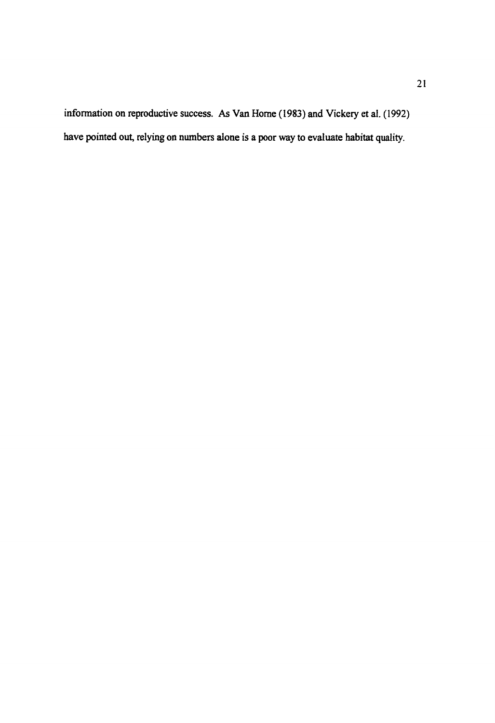information on reproductive success. As Van Home (1983) and Vickery et al. (1992) have pointed out, relying on numbers alone is a poor way to evaluate habitat quality.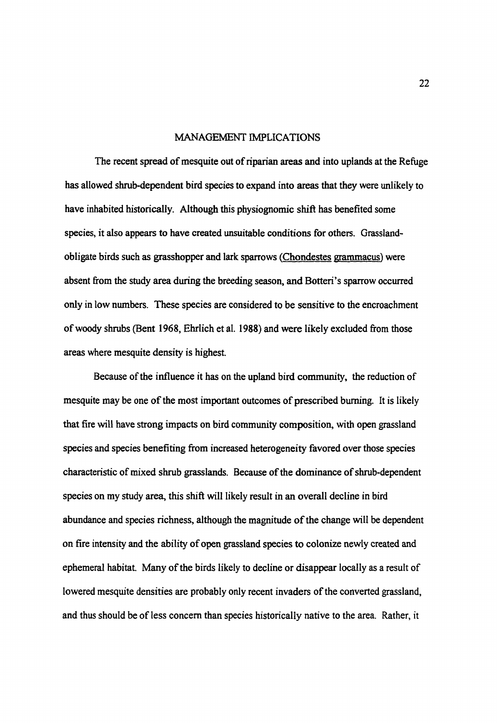#### MANAGEMENT IMPLICATIONS

The recent spread of mesquite out of riparian areas and into uplands at the Refuge has allowed shrub-dependent bird species to expand into areas that they were unlikely to have inhabited historically. Although this physiognomic shift has benefited some species, it also appears to have created unsuitable conditions for others. Grasslandobligate birds such as grasshopper and lark sparrows (Chondestes gammacus) were absent from the study area during the breeding season, and Botteri's sparrow occurred only in low numbers. These species are considered to be sensitive to the encroachment of woody shrubs (Bent 1968, Ehrlich et al. 1988) and were likely excluded from those areas where mesquite density is highest.

Because of the influence it has on the upland bird community, the reduction of mesquite may be one of the most important outcomes of prescribed burning. It is likely that fire will have strong impacts on bird community composition, with open grassland species and species benefiting from increased heterogeneity favored over those species characteristic of mixed shrub grasslands. Because of the dominance of shrub-dependent species on my study area, this shift will likely result in an overall decline in bird abundance and species richness, although the magnitude of the change will be dependent on fire intensity and the ability of open grassland species to colonize newly created and ephemeral habitat. Many of the birds likely to decline or disappear locally as a result of lowered mesquite densities are probably only recent invaders of the converted grassland, and thus should be of less concern than species historically native to the area. Rather, it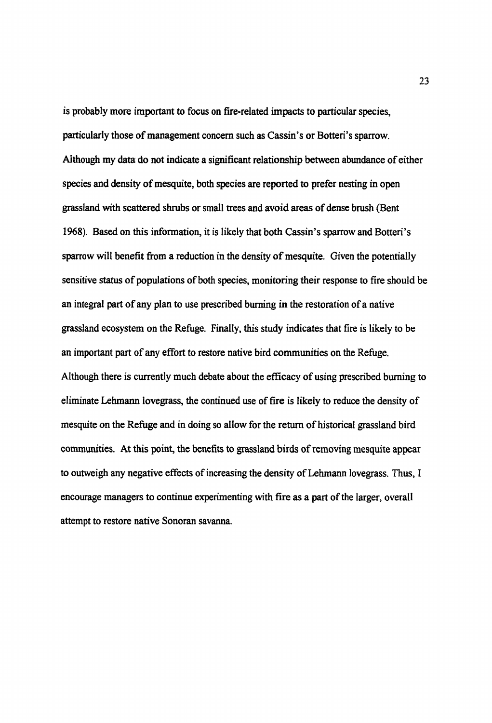is probably more important to focus on fire-related impacts to particular species, particularly those of management concern such as Cassin's or Botteri's sparrow. Although my data do not indicate a significant relationship between abundance of either species and density of mesquite, both species are reported to prefer nesting in open grassland with scattered shrubs or small trees and avoid areas of dense brush (Bent 1968). Based on this information, it is likely that both Cassin's sparrow and Botteri's sparrow will benefit from a reduction in the density of mesquite. Given the potentially sensitive status of populations of both species, monitoring their response to fire should be an integral part of any plan to use prescribed burning in the restoration of a native grassland ecosystem on the Refuge. Finally, this study indicates that fire is likely to be an important part of any effort to restore native bird communities on the Refuge. Although there is currently much debate about the efficacy of using prescribed burning to eliminate Lehmann lovegrass, the continued use of fire is likely to reduce the density of mesquite on the Refuge and in doing so allow for the return of historical grassland bird communities. At this point, the benefits to grassland birds of removing mesquite appear to outweigh any negative effects of increasing the density of Lehmann lovegrass. Thus, I encourage managers to continue experimenting with fire as a part of the larger, overall attempt to restore native Sonoran savanna.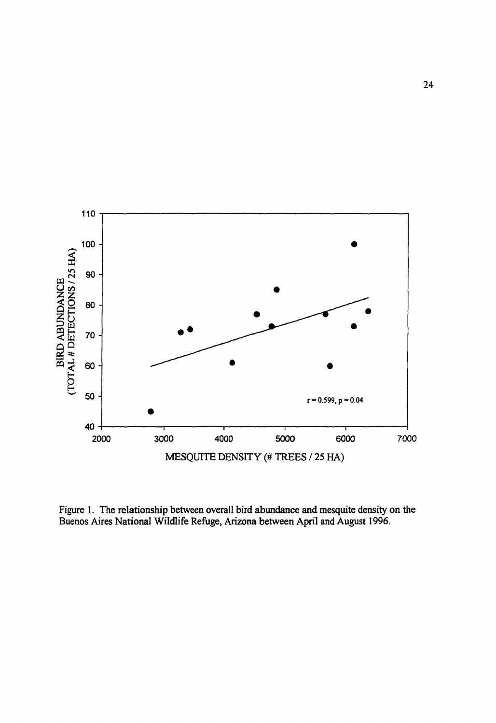

Figure 1. The relationship between overall bird abundance and mesquite density on the Buenos Aires National Wildlife Refuge, Arizona between April and August 1996.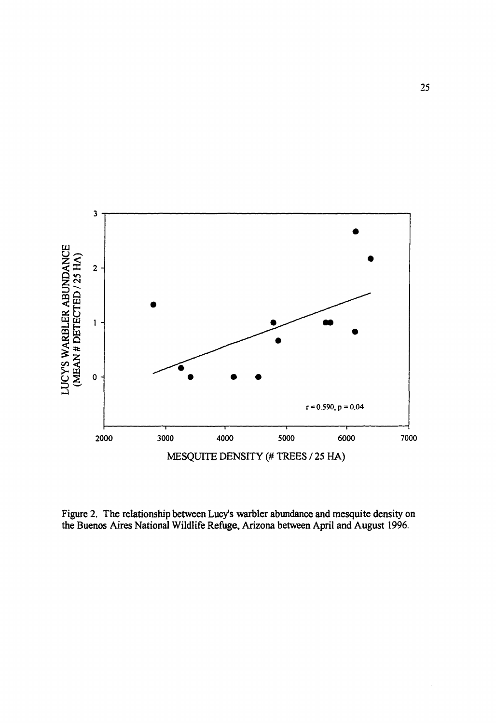

Figure 2. The relationship between Lucy's warbler abundance and mesquite density on the Buenos Aires National Wildlife Refuge, Arizona between April and August 1996.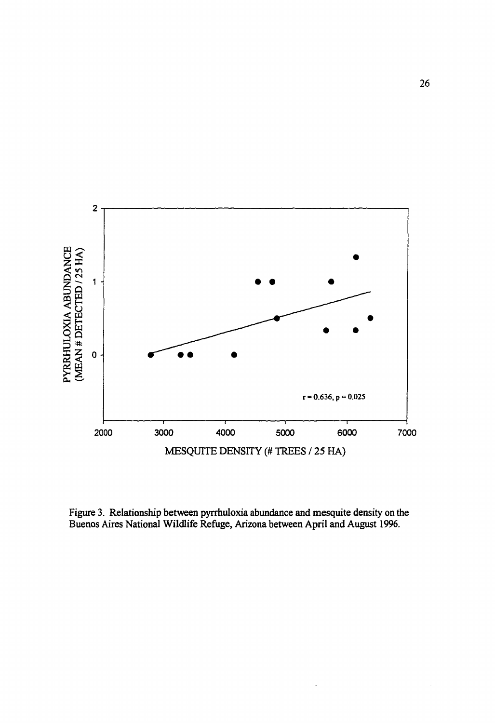

Figure 3. Relationship between pyrrhuloxia abundance and mesquite density on the Buenos Aires National Wildlife Refuge, Arizona between April and August 1996.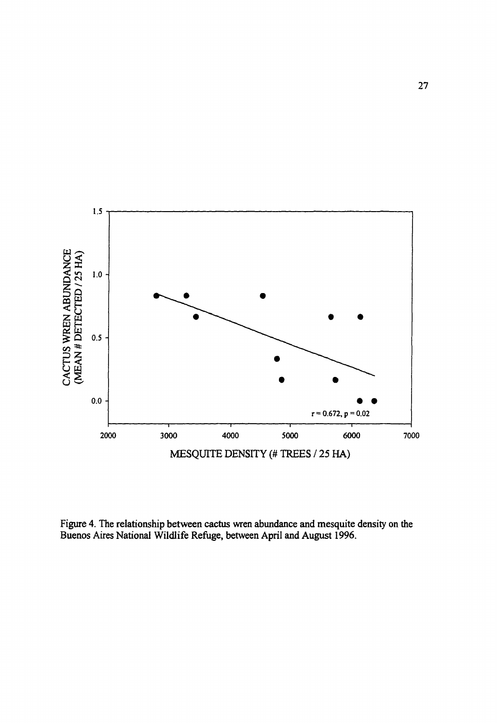

Figure 4. The relationship between cactus wren abundance and mesquite density on the Buenos Aires National Wildlife Refuge, between April and August 1996.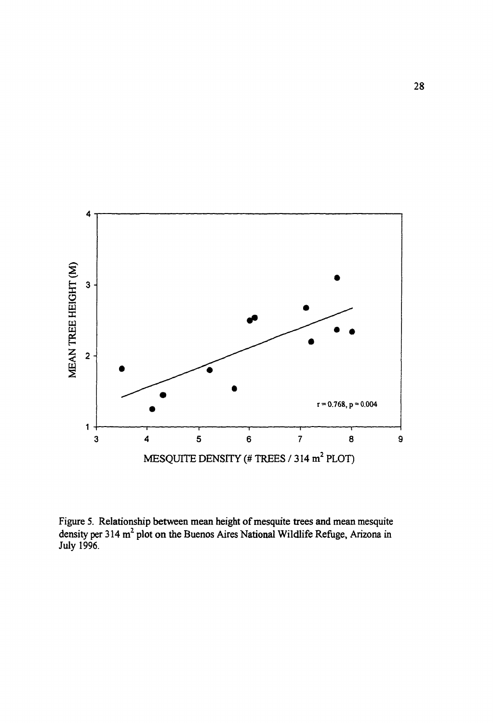

Figure 5. Relationship between mean height of mesquite trees and mean mesquite density per 314 m<sup>2</sup> plot on the Buenos Aires National Wildlife Refuge, Arizona in July 1996.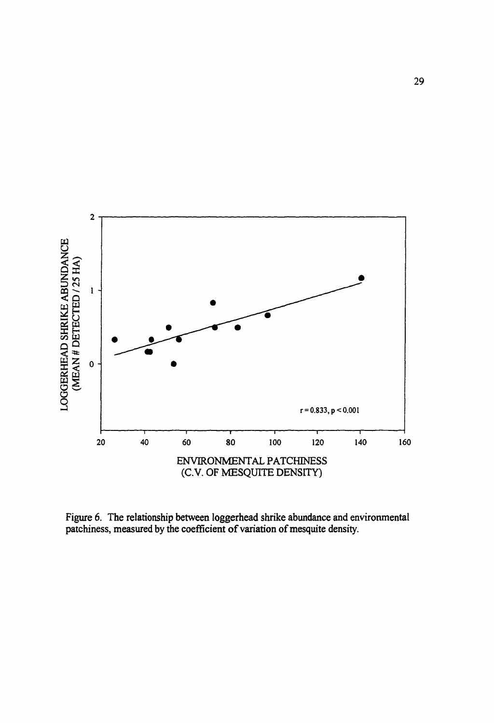

Figure 6. The relationship between loggerhead shrike abundance and environmental patchiness, measured by the coefficient of variation of mesquite density.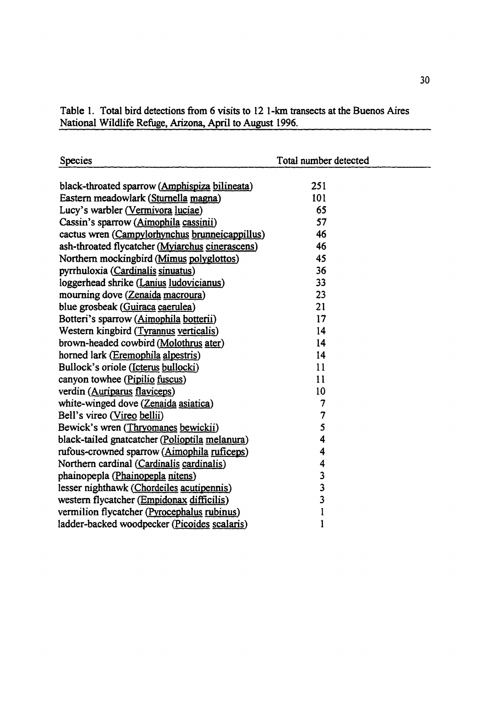Table 1. Total bird detections from 6 visits to 12 1-km transects at the Buenos Aires National Wildlife Refuge, Arizona, April to August 1996.

| <b>Species</b>                                  | Total number detected   |
|-------------------------------------------------|-------------------------|
| black-throated sparrow (Amphispiza bilineata)   | 251                     |
| Eastern meadowlark (Sturnella magna)            | 101                     |
| Lucy's warbler (Vermivora luciae)               | 65                      |
| Cassin's sparrow (Aimophila cassinii)           | 57                      |
|                                                 | 46                      |
| cactus wren (Campylorhynchus brunneicappillus)  | 46                      |
| ash-throated flycatcher (Myiarchus cinerascens) | 45                      |
| Northern mockingbird (Mimus polyglottos)        | 36                      |
| pyrrhuloxia (Cardinalis sinuatus)               |                         |
| loggerhead shrike (Lanius ludovicianus)         | 33                      |
| mourning dove (Zenaida macroura)                | 23                      |
| blue grosbeak (Guiraca caerulea)                | 21                      |
| Botteri's sparrow (Aimophila botterii)          | 17                      |
| Western kingbird (Tyrannus verticalis)          | 14                      |
| brown-headed cowbird (Molothrus ater)           | 14                      |
| horned lark (Eremophila alpestris)              | 14                      |
| Bullock's oriole (Icterus bullocki)             | 11                      |
| canyon towhee (Pipilio fuscus)                  | 11                      |
| verdin (Auriparus flaviceps)                    | 10                      |
| white-winged dove (Zenaida asiatica)            | 7                       |
| Bell's vireo (Vireo bellii)                     | 7                       |
| Bewick's wren (Thryomanes bewickii)             | 5                       |
| black-tailed gnatcatcher (Polioptila melanura)  | 4                       |
| rufous-crowned sparrow (Aimophila ruficeps)     | 4                       |
| Northern cardinal (Cardinalis cardinalis)       | 4                       |
| phainopepla (Phainopepla nitens)                | 3                       |
| lesser nighthawk (Chordeiles acutipennis)       | $\overline{\mathbf{3}}$ |
| western flycatcher (Empidonax difficilis)       | $\overline{3}$          |
| vermilion flycatcher (Pyrocephalus rubinus)     | $\mathbf{1}$            |
| ladder-backed woodpecker (Picoides scalaris)    | 1                       |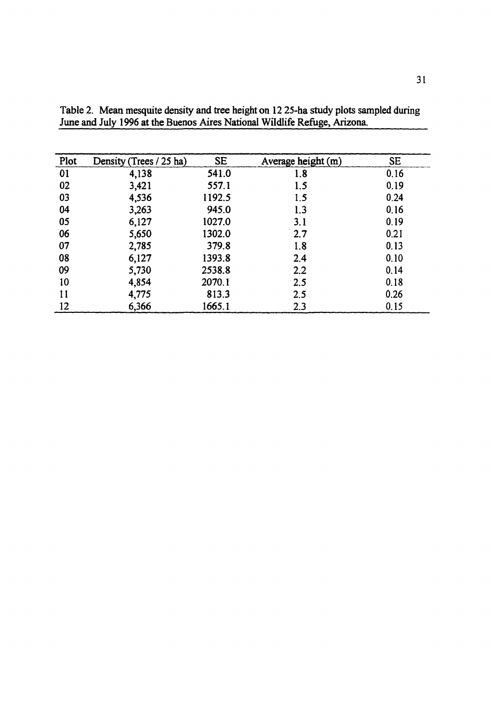| Plot | Density (Trees / 25 ha) | <b>SE</b> | Average height (m) | <b>SE</b> |
|------|-------------------------|-----------|--------------------|-----------|
| 01   | 4,138                   | 541.0     | 1.8                | 0.16      |
| 02   | 3,421                   | 557.1     | 1.5                | 0.19      |
| 03   | 4,536                   | 1192.5    | 1.5                | 0.24      |
| 04   | 3,263                   | 945.0     | 1.3                | 0.16      |
| 05   | 6,127                   | 1027.0    | 3.1                | 0.19      |
| 06   | 5,650                   | 1302.0    | 2.7                | 0.21      |
| 07   | 2,785                   | 379.8     | 1.8                | 0.13      |
| 08   | 6,127                   | 1393.8    | 2.4                | 0.10      |
| 09   | 5,730                   | 2538.8    | 2.2                | 0.14      |
| 10   | 4,854                   | 2070.1    | 2.5                | 0.18      |
| 11   | 4,775                   | 813.3     | 2.5                | 0.26      |
| 12   | 6,366                   | 1665.1    | 2.3                | 0.15      |

Table 2. Mean mesquite density and tree height on 12 25-ha study plots sampled during June and July 1996 at the Buenos Aires National Wildlife Refuge, Arizona.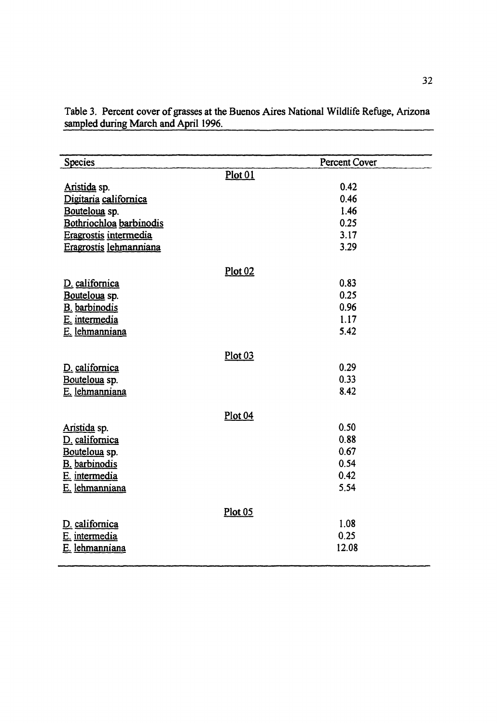| <b>Species</b>           |                | <b>Percent Cover</b> |
|--------------------------|----------------|----------------------|
|                          | <b>Plot 01</b> |                      |
| Aristida sp.             |                | 0.42                 |
| Digitaria californica    |                | 0.46                 |
| Bouteloua <sub>sp.</sub> |                | 1.46                 |
| Bothriochloa barbinodis  |                | 0.25                 |
| Eragrostis intermedia    |                | 3.17                 |
| Eragrostis lehmanniana   |                | 3.29                 |
|                          | <b>Plot 02</b> |                      |
| D. californica           |                | 0.83                 |
| Bouteloua sp.            |                | 0.25                 |
| <b>B.</b> barbinodis     |                | 0.96                 |
| E. intermedia            |                | 1.17                 |
| E. lehmanniana           |                | 5.42                 |
|                          |                |                      |
|                          | <b>Plot 03</b> |                      |
| D. californica           |                | 0.29                 |
| Bouteloua sp.            |                | 0.33                 |
| E. lehmanniana           |                | 8.42                 |
|                          |                |                      |
|                          | <b>Plot 04</b> |                      |
| Aristida sp.             |                | 0.50                 |
| D. californica           |                | 0.88                 |
| Bouteloua sp.            |                | 0.67                 |
| <b>B.</b> barbinodis     |                | 0.54                 |
| E. intermedia            |                | 0.42                 |
| E. lehmanniana           |                | 5.54                 |
|                          |                |                      |
|                          | <b>Plot 05</b> |                      |
| D. californica           |                | 1.08                 |
| E. intermedia            |                | 0.25                 |
| E. lehmanniana           |                | 12.08                |
|                          |                |                      |

Table 3. Percent cover of grasses at the Buenos Aires National Wildlife Refuge, Arizona sampled during March and April 1996.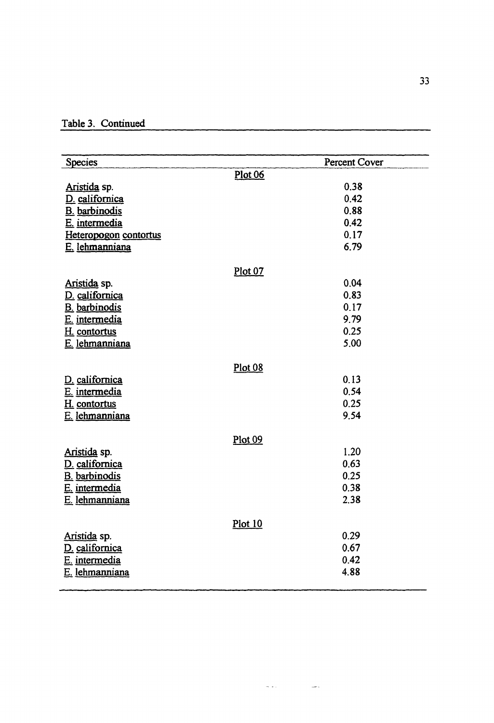## Table 3. Continued

| <b>Species</b>        | <b>Percent Cover</b> |
|-----------------------|----------------------|
|                       | <b>Plot 06</b>       |
| Aristida sp.          | 0.38                 |
| D. californica        | 0.42                 |
| <b>B.</b> barbinodis  | 0.88                 |
| E. intermedia         | 0.42                 |
| Heteropogon contortus | 0.17                 |
| E. lehmanniana        | 6.79                 |
|                       | <b>Plot 07</b>       |
| Aristida sp.          | 0.04                 |
| D. californica        | 0.83                 |
| <b>B.</b> barbinodis  | 0.17                 |
| E. intermedia         | 9.79                 |
| H. contortus          | 0.25                 |
| E. lehmanniana        | 5.00                 |
|                       | <b>Plot 08</b>       |
| D. californica        | 0.13                 |
| E. intermedia         | 0.54                 |
| H. contortus          | 0.25                 |
| E. lehmanniana        | 9.54                 |
|                       | <b>Plot 09</b>       |
| Aristida sp.          | 1.20                 |
| D. californica        | 0.63                 |
| <b>B.</b> barbinodis  | 0.25                 |
| E. intermedia         | 0.38                 |
| E. lehmanniana        | 2.38                 |
|                       |                      |
|                       | Plot 10              |
| Aristida sp.          | 0.29                 |
| D. californica        | 0.67                 |
| E. intermedia         | 0.42                 |
| E. lehmanniana        | 4.88                 |
|                       |                      |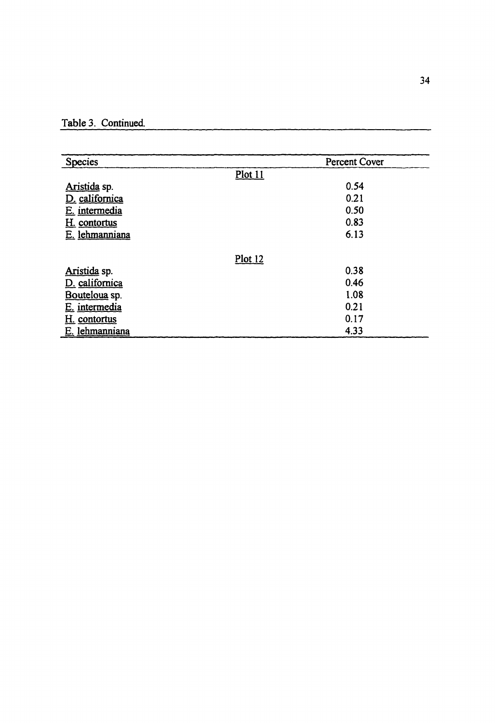## Table 3. Continued.

| <b>Species</b> | <b>Percent Cover</b> |
|----------------|----------------------|
|                | Plot 11              |
| Aristida sp.   | 0.54                 |
| D. californica | 0.21                 |
| E. intermedia  | 0.50                 |
| H. contortus   | 0.83                 |
| E. lehmanniana | 6.13                 |
|                | Plot 12              |
| Aristida sp.   | 0.38                 |
| D. californica | 0.46                 |
| Bouteloua sp.  | 1.08                 |
| E. intermedia  | 0.21                 |
| H. contortus   | 0.17                 |
| E. lehmanniana | 4.33                 |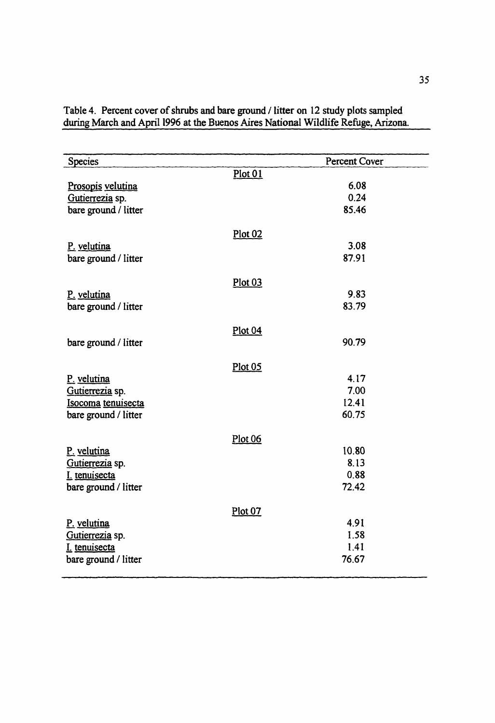| <b>Species</b>       | <b>Percent Cover</b> |
|----------------------|----------------------|
|                      | <b>Plot 01</b>       |
| Prosopis velutina    | 6.08                 |
| Gutierrezia sp.      | 0.24                 |
| bare ground / litter | 85.46                |
|                      |                      |
|                      | <b>Plot 02</b>       |
| P. velutina          | 3.08                 |
| bare ground / litter | 87.91                |
|                      |                      |
|                      | Plot <sub>03</sub>   |
| P. velutina          | 9.83                 |
| bare ground / litter | 83.79                |
|                      |                      |
|                      | Plot 04              |
| bare ground / litter | 90.79                |
|                      |                      |
|                      | <b>Plot 05</b>       |
| P. velutina          | 4.17                 |
| Gutierrezia sp.      | 7.00                 |
| Isocoma tenuisecta   | 12.41                |
| bare ground / litter | 60.75                |
|                      |                      |
|                      | Plot 06              |
| P. velutina          | 10.80                |
| Gutierrezia sp.      | 8.13                 |
| I. tenuisecta        | 0.88                 |
| bare ground / litter | 72.42                |
|                      |                      |
|                      | Plot 07              |
| P. velutina          | 4.91                 |
| Gutierrezia sp.      | 1.58                 |
| I. tenuisecta        | 1.41                 |
| bare ground / litter | 76.67                |
|                      |                      |

Table 4. Percent cover of shrubs and bare ground / litter on 12 study plots sampled during March and April 1996 at the Buenos Aires National Wildlife Refuge, Arizona-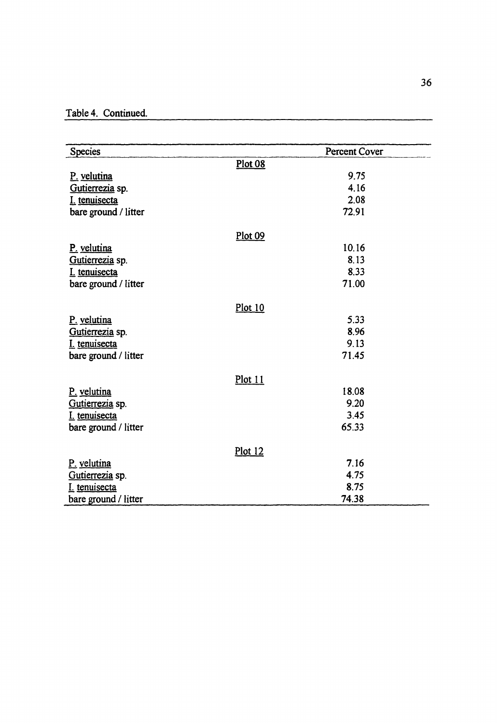## Table 4. Continued.

| <b>Species</b>       |                | Percent Cover |  |
|----------------------|----------------|---------------|--|
|                      | <b>Plot 08</b> |               |  |
| P. velutina          |                | 9.75          |  |
| Gutierrezia sp.      |                | 4.16          |  |
| I. tenuisecta        |                | 2.08          |  |
| bare ground / litter |                | 72.91         |  |
|                      | <b>Plot 09</b> |               |  |
| P. velutina          |                | 10.16         |  |
| Gutierrezia sp.      |                | 8.13          |  |
| I. tenuisecta        |                | 8.33          |  |
| bare ground / litter |                | 71.00         |  |
|                      |                |               |  |
|                      | <b>Plot 10</b> |               |  |
| P. velutina          |                | 5.33          |  |
| Gutierrezia sp.      |                | 8.96          |  |
| I. tenuisecta        |                | 9.13          |  |
| bare ground / litter |                | 71.45         |  |
|                      | <b>Plot 11</b> |               |  |
| P. velutina          |                | 18.08         |  |
| Gutierrezia sp.      |                | 9.20          |  |
| I. tenuisecta        |                | 3.45          |  |
| bare ground / litter |                | 65.33         |  |
|                      |                |               |  |
|                      | <b>Plot 12</b> |               |  |
| P. velutina          |                | 7.16          |  |
| Gutierrezia sp.      |                | 4.75          |  |
| I. tenuisecta        |                | 8.75          |  |
| bare ground / litter |                | 74.38         |  |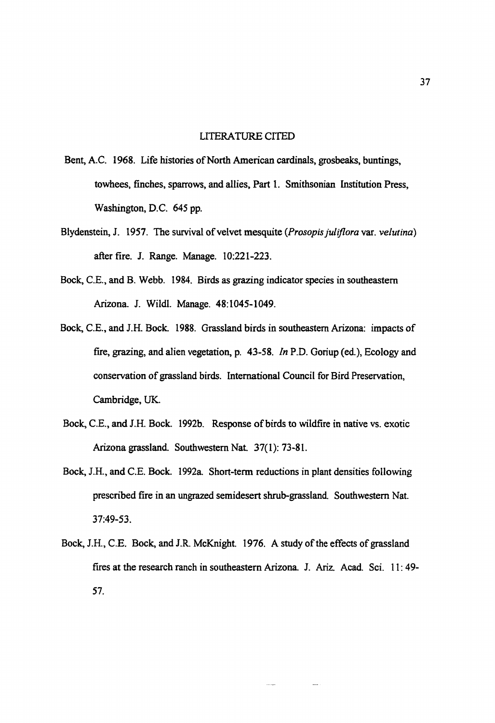### LITERATURE CITED

- Bent, A.C. 1968. Life histories of North American cardinals, grosbeaks, buntings, towhees, finches, sparrows, and allies. Part 1. Smithsonian Institution Press, Washington, D.C. 645 pp.
- Blydenstein, J. 1957. The survival of velvet mesquite *{Prosopis juliflora* var. *velutina)*  after fire. J. Range. Manage. 10:221-223.
- Bock, C.E., and B. Webb. 1984. Birds as grazing indicator species in southeastern Arizona. J. Wildl. Manage. 48:1045-1049.
- Bock, C.E., and J.H. Bock. 1988. Grassland birds in southeastern Arizona: impacts of fire, grazing, and alien vegetation, p. 43-58. *In* P.D. Goriup (ed.). Ecology and conservation of grassland birds. International Council for Bird Preservation, Cambridge, UK.
- Bock, C.E., and J.H. Bock. 1992b. Response of birds to wildfire in native vs. exotic Arizona grassland. Southwestern Nat. 37(1): 73-81.
- Bock, J.H., and C.E. Bock. 1992a. Short-term reductions in plant densities following prescribed fire in an ungrazed semidesert shrub-grassland. Southwestern Nat. 37:49-53.
- Bock, J.H., C.E. Bock, and J.R. McKnight. 1976. A study of the effects of grassland fires at the research ranch in southeastern Arizona. J. Ariz. Acad. Sci. 11:49- 57.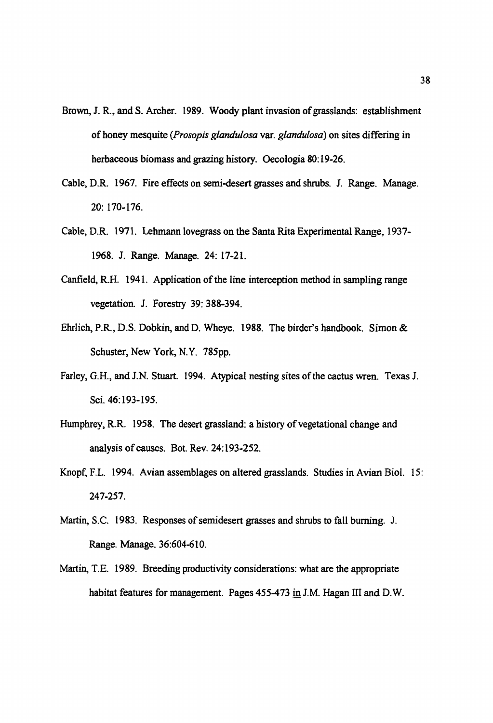- Brown, J. R., and S. Archer. 1989. Woody plant invasion of grasslands; establishment of honey mesquite *(Frosopis glandulosa* var. *glandulosa)* on sites differing in herbaceous biomass and grazing history. Oecologia 80:19-26.
- Cable, D.R. 1967. Fire effects on semi-desert grasses and shrubs. J. Range. Manage. 20; 170-176.
- Cable, D.R. 1971. Lehmann lovegrass on the Santa Rita Experimental Range, 1937- 1968. J. Range. Manage. 24; 17-21.
- Canfield, R.H. 1941. Application of the line interception method in sampling range vegetation. J. Forestry 39; 388-394.
- Ehrlich, P.R., D.S. Dobkin, and D. Wheye. 1988. The birder's handbook. Simon & Schuster, New York, N.Y. 785pp.
- Farley, G.H., and J.N. Stuart. 1994. Atypical nesting sites of the cactus wren. Texas J. Sci. 46; 193-195.
- Humphrey, R.R. 1958. The desert grassland; a history of vegetational change and analysis of causes. Bot. Rev. 24; 193-252.
- Knopf, F.L. 1994. Avian assemblages on altered grasslands. Studies in Avian Biol. 15; 247-257.
- Martin, S.C. 1983. Responses of semidesert grasses and shrubs to fall burning. J. Range. Manage. 36;604-610.
- Martin, T.E. 1989. Breeding productivity considerations; what are the appropriate habitat features for management. Pages 455-473 in J.M. Hagan III and D.W.